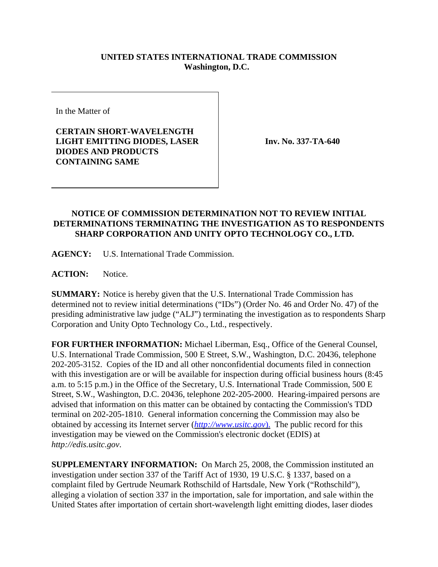## **UNITED STATES INTERNATIONAL TRADE COMMISSION Washington, D.C.**

In the Matter of

**CERTAIN SHORT-WAVELENGTH LIGHT EMITTING DIODES, LASER DIODES AND PRODUCTS CONTAINING SAME**

**Inv. No. 337-TA-640**

## **NOTICE OF COMMISSION DETERMINATION NOT TO REVIEW INITIAL DETERMINATIONS TERMINATING THE INVESTIGATION AS TO RESPONDENTS SHARP CORPORATION AND UNITY OPTO TECHNOLOGY CO., LTD.**

**AGENCY:** U.S. International Trade Commission.

**ACTION:** Notice.

**SUMMARY:** Notice is hereby given that the U.S. International Trade Commission has determined not to review initial determinations ("IDs") (Order No. 46 and Order No. 47) of the presiding administrative law judge ("ALJ") terminating the investigation as to respondents Sharp Corporation and Unity Opto Technology Co., Ltd., respectively.

**FOR FURTHER INFORMATION:** Michael Liberman, Esq., Office of the General Counsel, U.S. International Trade Commission, 500 E Street, S.W., Washington, D.C. 20436, telephone 202-205-3152. Copies of the ID and all other nonconfidential documents filed in connection with this investigation are or will be available for inspection during official business hours (8:45 a.m. to 5:15 p.m.) in the Office of the Secretary, U.S. International Trade Commission, 500 E Street, S.W., Washington, D.C. 20436, telephone 202-205-2000. Hearing-impaired persons are advised that information on this matter can be obtained by contacting the Commission's TDD terminal on 202-205-1810. General information concerning the Commission may also be obtained by accessing its Internet server (*http://www.usitc.gov*). The public record for this investigation may be viewed on the Commission's electronic docket (EDIS) at *http://edis.usitc.gov*.

**SUPPLEMENTARY INFORMATION:** On March 25, 2008, the Commission instituted an investigation under section 337 of the Tariff Act of 1930, 19 U.S.C. § 1337, based on a complaint filed by Gertrude Neumark Rothschild of Hartsdale, New York ("Rothschild"), alleging a violation of section 337 in the importation, sale for importation, and sale within the United States after importation of certain short-wavelength light emitting diodes, laser diodes